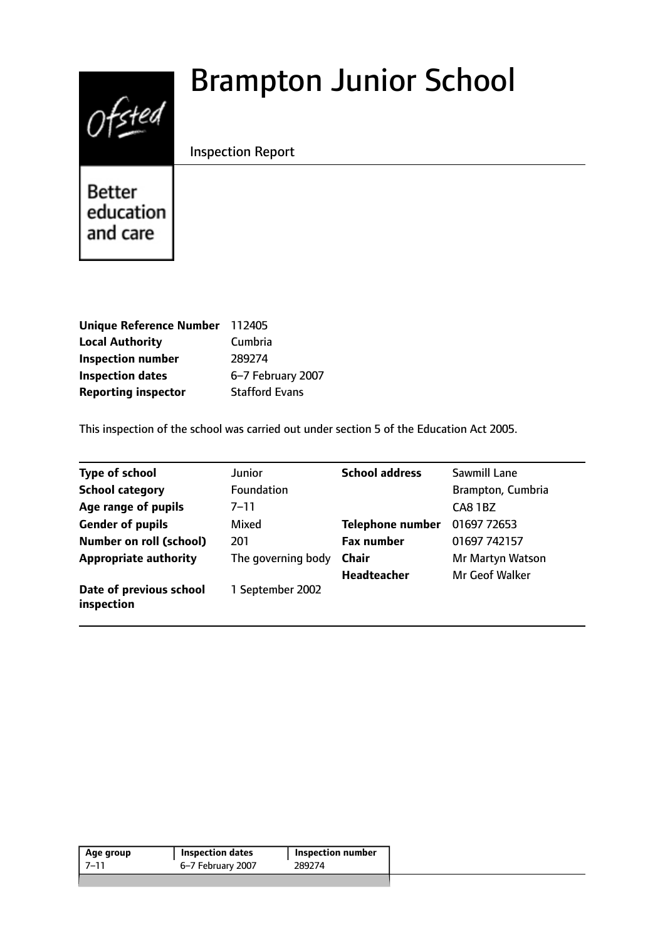# $0$ fsted

# Brampton Junior School

Inspection Report

**Better** education and care

| Unique Reference Number 112405 |                       |
|--------------------------------|-----------------------|
| <b>Local Authority</b>         | Cumbria               |
| <b>Inspection number</b>       | 289274                |
| <b>Inspection dates</b>        | 6-7 February 2007     |
| <b>Reporting inspector</b>     | <b>Stafford Evans</b> |

This inspection of the school was carried out under section 5 of the Education Act 2005.

| <b>Type of school</b>                 | <b>Junior</b>      | <b>School address</b>   | Sawmill Lane      |
|---------------------------------------|--------------------|-------------------------|-------------------|
| <b>School category</b>                | Foundation         |                         | Brampton, Cumbria |
| Age range of pupils                   | $7 - 11$           |                         | CA8 1BZ           |
| <b>Gender of pupils</b>               | Mixed              | <b>Telephone number</b> | 01697 72653       |
| <b>Number on roll (school)</b>        | 201                | <b>Fax number</b>       | 01697 742157      |
| <b>Appropriate authority</b>          | The governing body | Chair                   | Mr Martyn Watson  |
|                                       |                    | <b>Headteacher</b>      | Mr Geof Walker    |
| Date of previous school<br>inspection | 1 September 2002   |                         |                   |

| 6–7 February 2007<br>-7–11<br>289274 | Age group | <b>Inspection dates</b> | Inspection number |
|--------------------------------------|-----------|-------------------------|-------------------|
|                                      |           |                         |                   |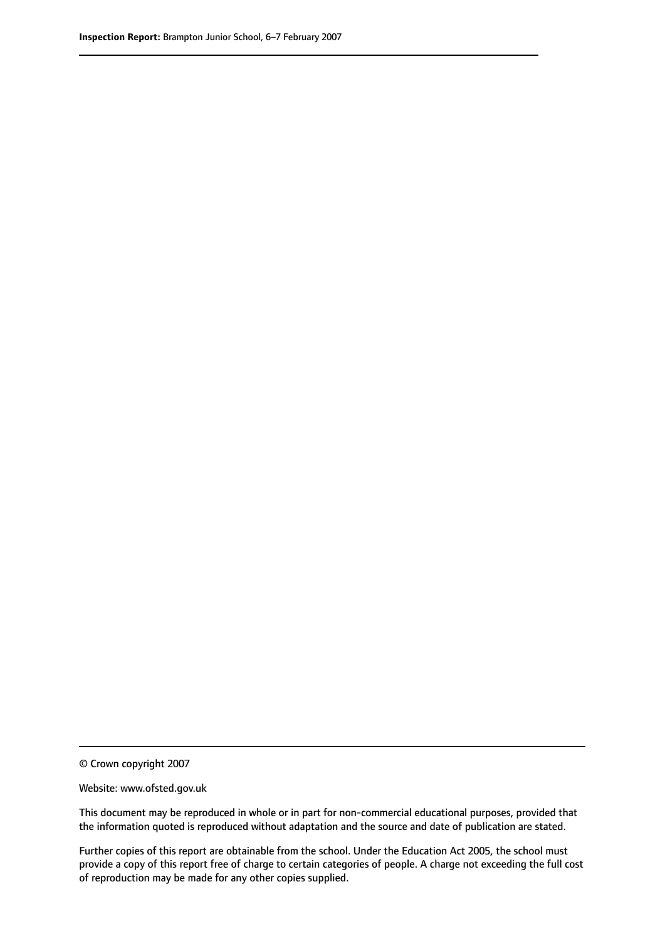© Crown copyright 2007

Website: www.ofsted.gov.uk

This document may be reproduced in whole or in part for non-commercial educational purposes, provided that the information quoted is reproduced without adaptation and the source and date of publication are stated.

Further copies of this report are obtainable from the school. Under the Education Act 2005, the school must provide a copy of this report free of charge to certain categories of people. A charge not exceeding the full cost of reproduction may be made for any other copies supplied.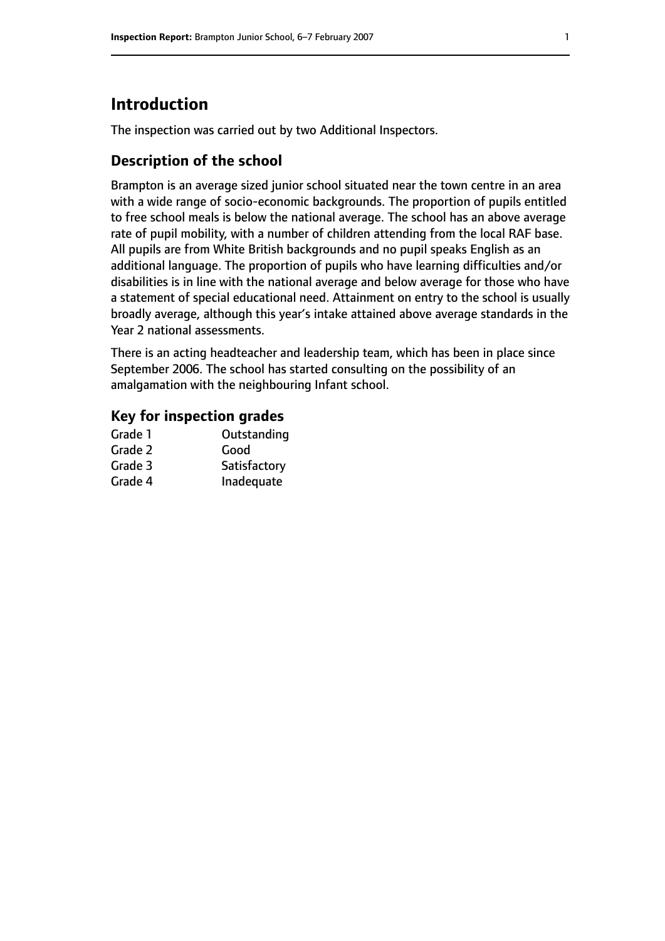# **Introduction**

The inspection was carried out by two Additional Inspectors.

# **Description of the school**

Brampton is an average sized junior school situated near the town centre in an area with a wide range of socio-economic backgrounds. The proportion of pupils entitled to free school meals is below the national average. The school has an above average rate of pupil mobility, with a number of children attending from the local RAF base. All pupils are from White British backgrounds and no pupil speaks English as an additional language. The proportion of pupils who have learning difficulties and/or disabilities is in line with the national average and below average for those who have a statement of special educational need. Attainment on entry to the school is usually broadly average, although this year's intake attained above average standards in the Year 2 national assessments.

There is an acting headteacher and leadership team, which has been in place since September 2006. The school has started consulting on the possibility of an amalgamation with the neighbouring Infant school.

# **Key for inspection grades**

| Grade 1 | Outstanding  |
|---------|--------------|
| Grade 2 | Good         |
| Grade 3 | Satisfactory |
| Grade 4 | Inadequate   |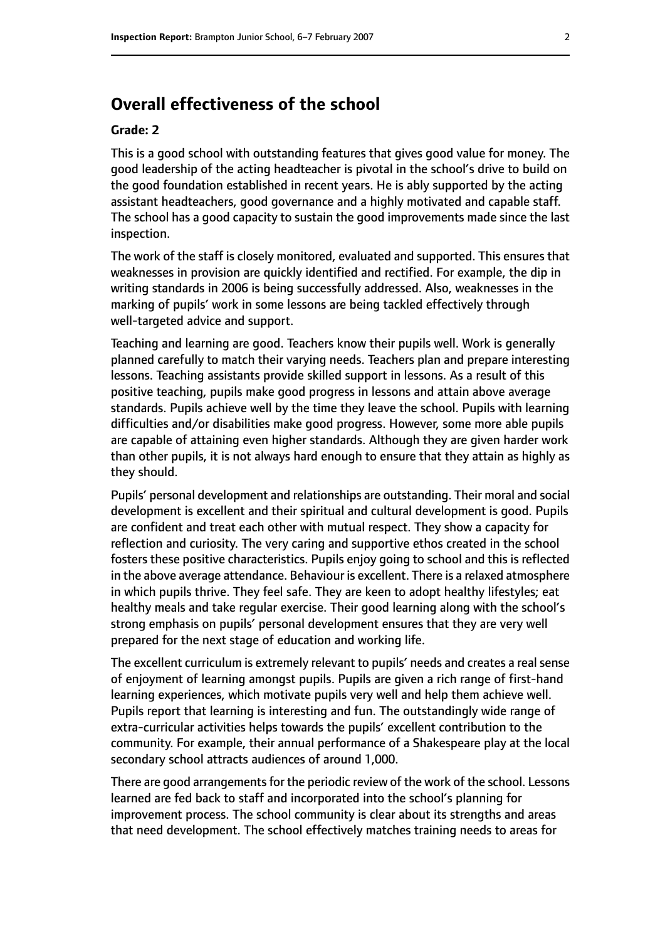# **Overall effectiveness of the school**

#### **Grade: 2**

This is a good school with outstanding features that gives good value for money. The good leadership of the acting headteacher is pivotal in the school's drive to build on the good foundation established in recent years. He is ably supported by the acting assistant headteachers, good governance and a highly motivated and capable staff. The school has a good capacity to sustain the good improvements made since the last inspection.

The work of the staff is closely monitored, evaluated and supported. This ensures that weaknesses in provision are quickly identified and rectified. For example, the dip in writing standards in 2006 is being successfully addressed. Also, weaknesses in the marking of pupils' work in some lessons are being tackled effectively through well-targeted advice and support.

Teaching and learning are good. Teachers know their pupils well. Work is generally planned carefully to match their varying needs. Teachers plan and prepare interesting lessons. Teaching assistants provide skilled support in lessons. As a result of this positive teaching, pupils make good progress in lessons and attain above average standards. Pupils achieve well by the time they leave the school. Pupils with learning difficulties and/or disabilities make good progress. However, some more able pupils are capable of attaining even higher standards. Although they are given harder work than other pupils, it is not always hard enough to ensure that they attain as highly as they should.

Pupils' personal development and relationships are outstanding. Their moral and social development is excellent and their spiritual and cultural development is good. Pupils are confident and treat each other with mutual respect. They show a capacity for reflection and curiosity. The very caring and supportive ethos created in the school fosters these positive characteristics. Pupils enjoy going to school and this is reflected in the above average attendance. Behaviour is excellent. There is a relaxed atmosphere in which pupils thrive. They feel safe. They are keen to adopt healthy lifestyles; eat healthy meals and take regular exercise. Their good learning along with the school's strong emphasis on pupils' personal development ensures that they are very well prepared for the next stage of education and working life.

The excellent curriculum is extremely relevant to pupils' needs and creates a real sense of enjoyment of learning amongst pupils. Pupils are given a rich range of first-hand learning experiences, which motivate pupils very well and help them achieve well. Pupils report that learning is interesting and fun. The outstandingly wide range of extra-curricular activities helps towards the pupils' excellent contribution to the community. For example, their annual performance of a Shakespeare play at the local secondary school attracts audiences of around 1,000.

There are good arrangements for the periodic review of the work of the school. Lessons learned are fed back to staff and incorporated into the school's planning for improvement process. The school community is clear about its strengths and areas that need development. The school effectively matches training needs to areas for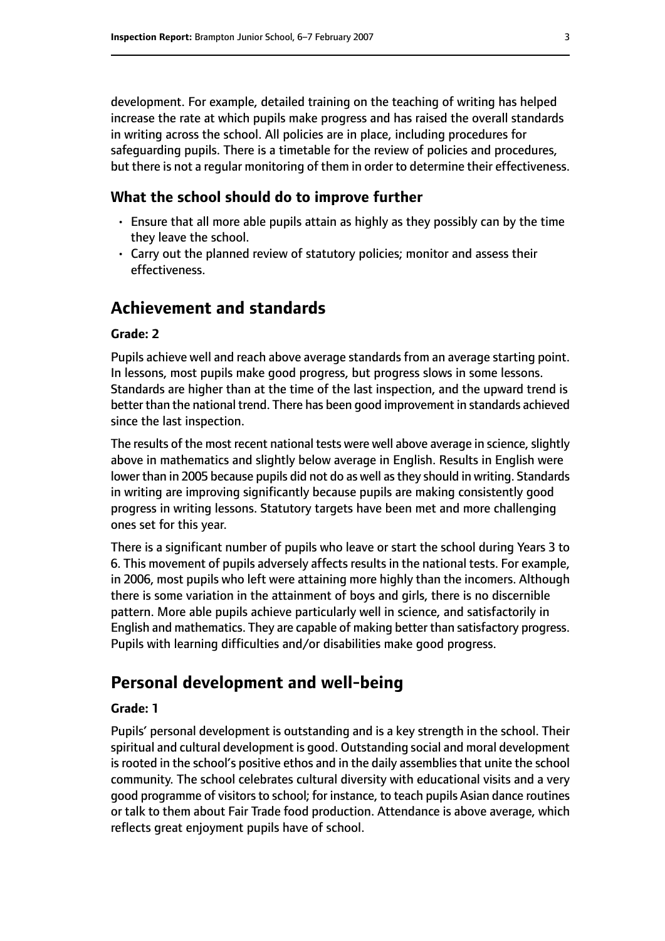development. For example, detailed training on the teaching of writing has helped increase the rate at which pupils make progress and has raised the overall standards in writing across the school. All policies are in place, including procedures for safeguarding pupils. There is a timetable for the review of policies and procedures, but there is not a regular monitoring of them in order to determine their effectiveness.

#### **What the school should do to improve further**

- Ensure that all more able pupils attain as highly as they possibly can by the time they leave the school.
- Carry out the planned review of statutory policies; monitor and assess their effectiveness.

# **Achievement and standards**

#### **Grade: 2**

Pupils achieve well and reach above average standards from an average starting point. In lessons, most pupils make good progress, but progress slows in some lessons. Standards are higher than at the time of the last inspection, and the upward trend is better than the national trend. There has been good improvement in standards achieved since the last inspection.

The results of the most recent national tests were well above average in science, slightly above in mathematics and slightly below average in English. Results in English were lower than in 2005 because pupils did not do as well as they should in writing. Standards in writing are improving significantly because pupils are making consistently good progress in writing lessons. Statutory targets have been met and more challenging ones set for this year.

There is a significant number of pupils who leave or start the school during Years 3 to 6. This movement of pupils adversely affects results in the national tests. For example, in 2006, most pupils who left were attaining more highly than the incomers. Although there is some variation in the attainment of boys and girls, there is no discernible pattern. More able pupils achieve particularly well in science, and satisfactorily in English and mathematics. They are capable of making better than satisfactory progress. Pupils with learning difficulties and/or disabilities make good progress.

# **Personal development and well-being**

#### **Grade: 1**

Pupils' personal development is outstanding and is a key strength in the school. Their spiritual and cultural development is good. Outstanding social and moral development is rooted in the school's positive ethos and in the daily assemblies that unite the school community. The school celebrates cultural diversity with educational visits and a very good programme of visitors to school; for instance, to teach pupils Asian dance routines or talk to them about Fair Trade food production. Attendance is above average, which reflects great enjoyment pupils have of school.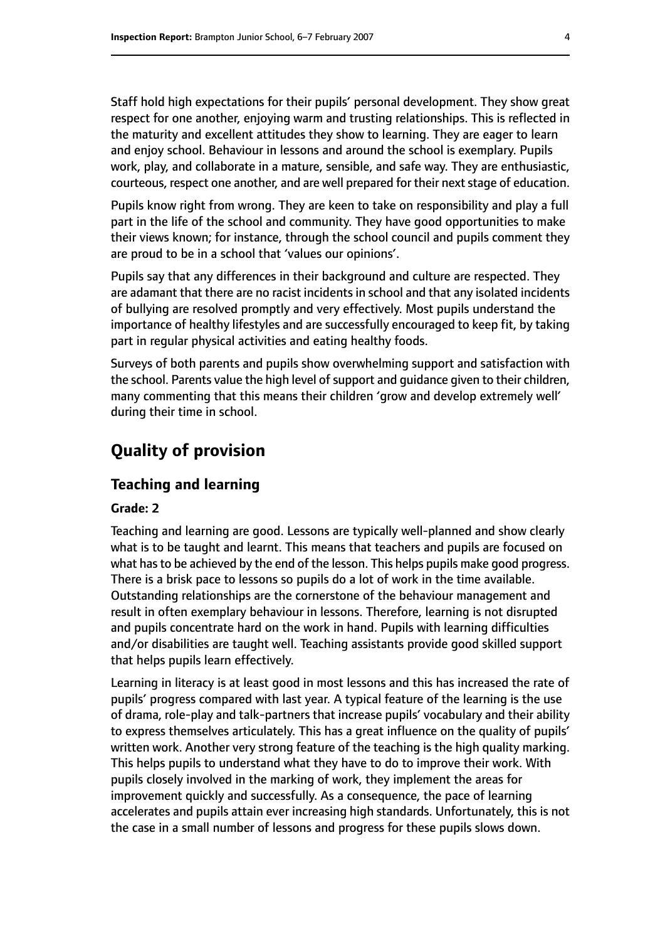Staff hold high expectations for their pupils' personal development. They show great respect for one another, enjoying warm and trusting relationships. This is reflected in the maturity and excellent attitudes they show to learning. They are eager to learn and enjoy school. Behaviour in lessons and around the school is exemplary. Pupils work, play, and collaborate in a mature, sensible, and safe way. They are enthusiastic, courteous, respect one another, and are well prepared for their next stage of education.

Pupils know right from wrong. They are keen to take on responsibility and play a full part in the life of the school and community. They have good opportunities to make their views known; for instance, through the school council and pupils comment they are proud to be in a school that 'values our opinions'.

Pupils say that any differences in their background and culture are respected. They are adamant that there are no racist incidents in school and that any isolated incidents of bullying are resolved promptly and very effectively. Most pupils understand the importance of healthy lifestyles and are successfully encouraged to keep fit, by taking part in regular physical activities and eating healthy foods.

Surveys of both parents and pupils show overwhelming support and satisfaction with the school. Parents value the high level of support and guidance given to their children, many commenting that this means their children 'grow and develop extremely well' during their time in school.

# **Quality of provision**

#### **Teaching and learning**

#### **Grade: 2**

Teaching and learning are good. Lessons are typically well-planned and show clearly what is to be taught and learnt. This means that teachers and pupils are focused on what has to be achieved by the end of the lesson. This helps pupils make good progress. There is a brisk pace to lessons so pupils do a lot of work in the time available. Outstanding relationships are the cornerstone of the behaviour management and result in often exemplary behaviour in lessons. Therefore, learning is not disrupted and pupils concentrate hard on the work in hand. Pupils with learning difficulties and/or disabilities are taught well. Teaching assistants provide good skilled support that helps pupils learn effectively.

Learning in literacy is at least good in most lessons and this has increased the rate of pupils' progress compared with last year. A typical feature of the learning is the use of drama, role-play and talk-partners that increase pupils' vocabulary and their ability to express themselves articulately. This has a great influence on the quality of pupils' written work. Another very strong feature of the teaching is the high quality marking. This helps pupils to understand what they have to do to improve their work. With pupils closely involved in the marking of work, they implement the areas for improvement quickly and successfully. As a consequence, the pace of learning accelerates and pupils attain ever increasing high standards. Unfortunately, this is not the case in a small number of lessons and progress for these pupils slows down.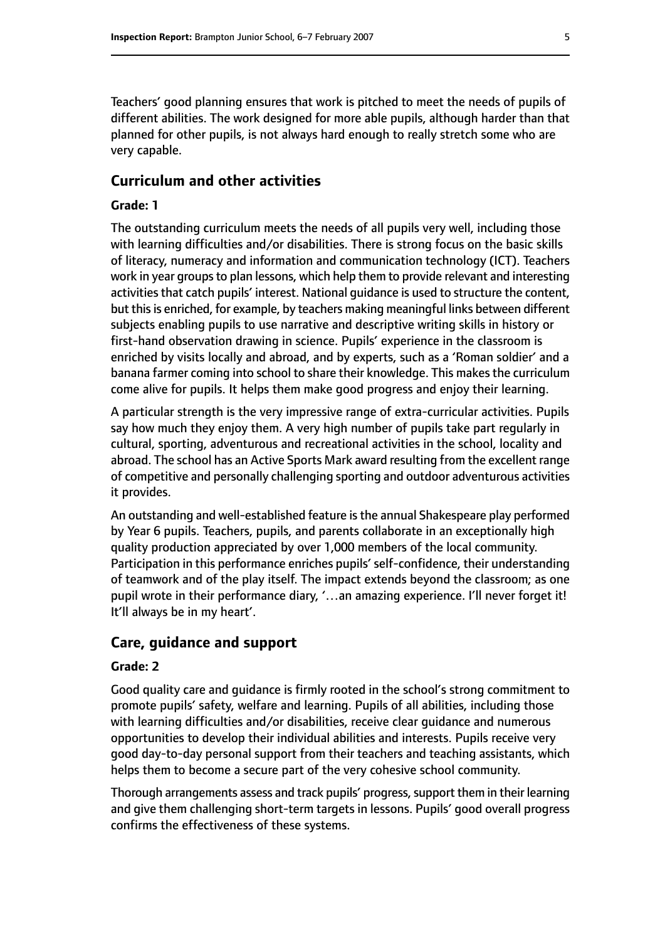Teachers' good planning ensures that work is pitched to meet the needs of pupils of different abilities. The work designed for more able pupils, although harder than that planned for other pupils, is not always hard enough to really stretch some who are very capable.

#### **Curriculum and other activities**

#### **Grade: 1**

The outstanding curriculum meets the needs of all pupils very well, including those with learning difficulties and/or disabilities. There is strong focus on the basic skills of literacy, numeracy and information and communication technology (ICT). Teachers work in year groups to plan lessons, which help them to provide relevant and interesting activities that catch pupils' interest. National quidance is used to structure the content, but this is enriched, for example, by teachers making meaningful links between different subjects enabling pupils to use narrative and descriptive writing skills in history or first-hand observation drawing in science. Pupils' experience in the classroom is enriched by visits locally and abroad, and by experts, such as a 'Roman soldier' and a banana farmer coming into school to share their knowledge. This makes the curriculum come alive for pupils. It helps them make good progress and enjoy their learning.

A particular strength is the very impressive range of extra-curricular activities. Pupils say how much they enjoy them. A very high number of pupils take part regularly in cultural, sporting, adventurous and recreational activities in the school, locality and abroad. The school has an Active Sports Mark award resulting from the excellent range of competitive and personally challenging sporting and outdoor adventurous activities it provides.

An outstanding and well-established feature isthe annual Shakespeare play performed by Year 6 pupils. Teachers, pupils, and parents collaborate in an exceptionally high quality production appreciated by over 1,000 members of the local community. Participation in this performance enriches pupils' self-confidence, their understanding of teamwork and of the play itself. The impact extends beyond the classroom; as one pupil wrote in their performance diary, '...an amazing experience. I'll never forget it! It'll always be in my heart'.

#### **Care, guidance and support**

#### **Grade: 2**

Good quality care and guidance is firmly rooted in the school's strong commitment to promote pupils' safety, welfare and learning. Pupils of all abilities, including those with learning difficulties and/or disabilities, receive clear guidance and numerous opportunities to develop their individual abilities and interests. Pupils receive very good day-to-day personal support from their teachers and teaching assistants, which helps them to become a secure part of the very cohesive school community.

Thorough arrangements assess and track pupils' progress, support them in their learning and give them challenging short-term targets in lessons. Pupils' good overall progress confirms the effectiveness of these systems.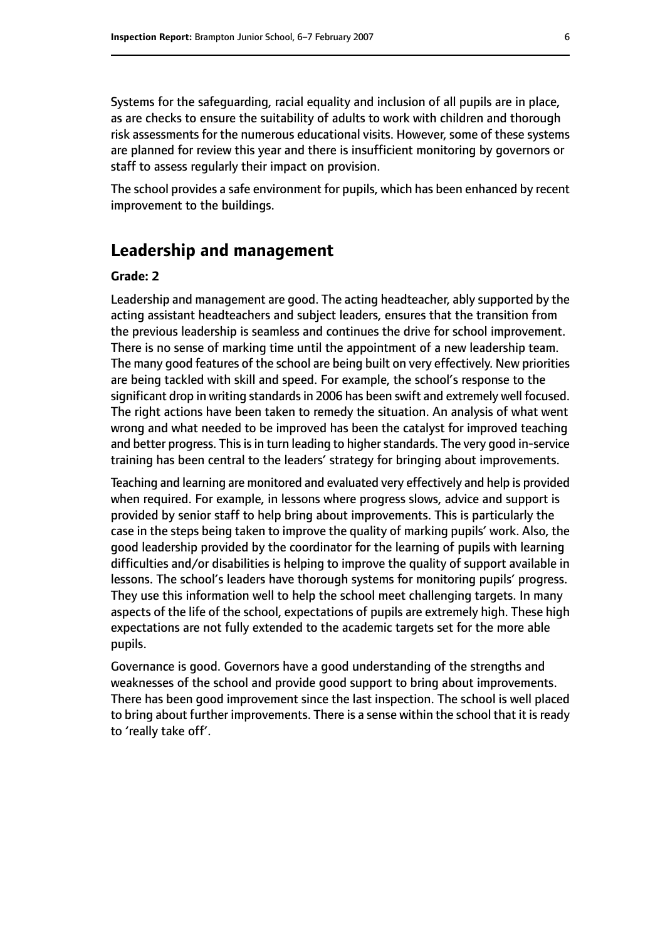Systems for the safeguarding, racial equality and inclusion of all pupils are in place, as are checks to ensure the suitability of adults to work with children and thorough risk assessments for the numerous educational visits. However, some of these systems are planned for review this year and there is insufficient monitoring by governors or staff to assess regularly their impact on provision.

The school provides a safe environment for pupils, which has been enhanced by recent improvement to the buildings.

# **Leadership and management**

#### **Grade: 2**

Leadership and management are good. The acting headteacher, ably supported by the acting assistant headteachers and subject leaders, ensures that the transition from the previous leadership is seamless and continues the drive for school improvement. There is no sense of marking time until the appointment of a new leadership team. The many good features of the school are being built on very effectively. New priorities are being tackled with skill and speed. For example, the school's response to the significant drop in writing standards in 2006 has been swift and extremely well focused. The right actions have been taken to remedy the situation. An analysis of what went wrong and what needed to be improved has been the catalyst for improved teaching and better progress. This is in turn leading to higher standards. The very good in-service training has been central to the leaders' strategy for bringing about improvements.

Teaching and learning are monitored and evaluated very effectively and help is provided when required. For example, in lessons where progress slows, advice and support is provided by senior staff to help bring about improvements. This is particularly the case in the steps being taken to improve the quality of marking pupils' work. Also, the good leadership provided by the coordinator for the learning of pupils with learning difficulties and/or disabilities is helping to improve the quality of support available in lessons. The school's leaders have thorough systems for monitoring pupils' progress. They use this information well to help the school meet challenging targets. In many aspects of the life of the school, expectations of pupils are extremely high. These high expectations are not fully extended to the academic targets set for the more able pupils.

Governance is good. Governors have a good understanding of the strengths and weaknesses of the school and provide good support to bring about improvements. There has been good improvement since the last inspection. The school is well placed to bring about further improvements. There is a sense within the school that it is ready to 'really take off'.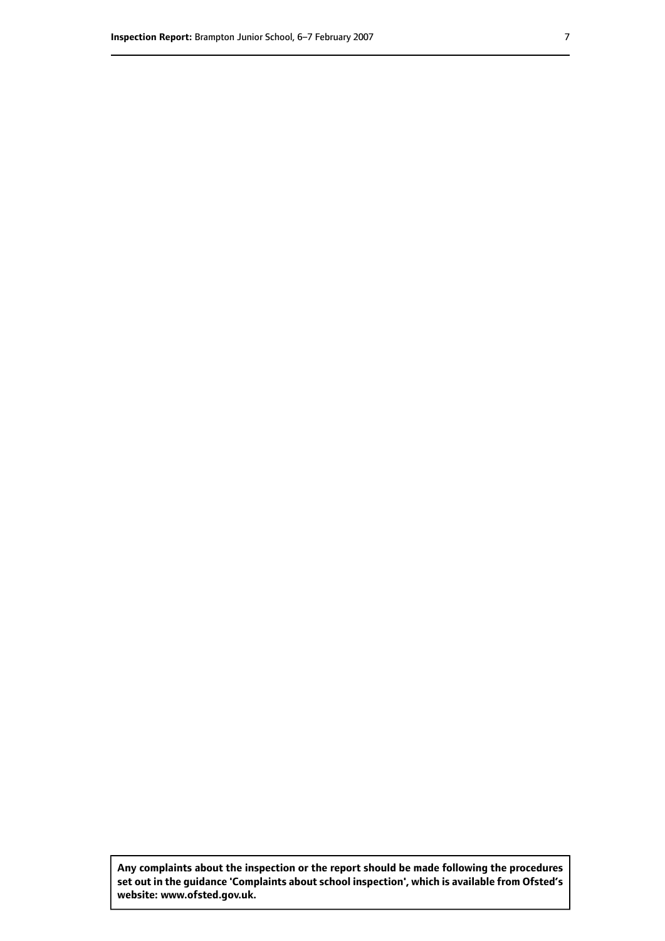**Any complaints about the inspection or the report should be made following the procedures set out inthe guidance 'Complaints about school inspection', whichis available from Ofsted's website: www.ofsted.gov.uk.**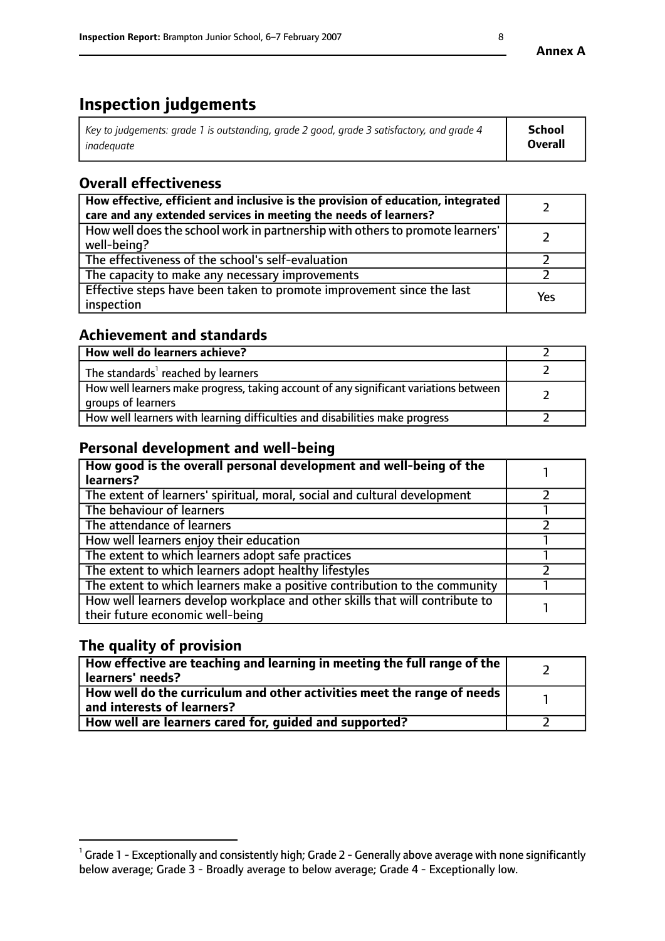# **Inspection judgements**

| Key to judgements: grade 1 is outstanding, grade 2 good, grade 3 satisfactory, and grade 4 | School  |
|--------------------------------------------------------------------------------------------|---------|
| inadeauate                                                                                 | Overall |

# **Overall effectiveness**

| How effective, efficient and inclusive is the provision of education, integrated<br>care and any extended services in meeting the needs of learners? |     |
|------------------------------------------------------------------------------------------------------------------------------------------------------|-----|
| How well does the school work in partnership with others to promote learners'<br>well-being?                                                         |     |
| The effectiveness of the school's self-evaluation                                                                                                    |     |
| The capacity to make any necessary improvements                                                                                                      |     |
| Effective steps have been taken to promote improvement since the last<br>inspection                                                                  | Yes |

# **Achievement and standards**

| How well do learners achieve?                                                                               |  |
|-------------------------------------------------------------------------------------------------------------|--|
| The standards <sup>1</sup> reached by learners                                                              |  |
| How well learners make progress, taking account of any significant variations between<br>groups of learners |  |
| How well learners with learning difficulties and disabilities make progress                                 |  |

# **Personal development and well-being**

| How good is the overall personal development and well-being of the<br>learners?                                  |  |
|------------------------------------------------------------------------------------------------------------------|--|
| The extent of learners' spiritual, moral, social and cultural development                                        |  |
| The behaviour of learners                                                                                        |  |
| The attendance of learners                                                                                       |  |
| How well learners enjoy their education                                                                          |  |
| The extent to which learners adopt safe practices                                                                |  |
| The extent to which learners adopt healthy lifestyles                                                            |  |
| The extent to which learners make a positive contribution to the community                                       |  |
| How well learners develop workplace and other skills that will contribute to<br>their future economic well-being |  |

# **The quality of provision**

| How effective are teaching and learning in meeting the full range of the<br>learners' needs?                        |  |
|---------------------------------------------------------------------------------------------------------------------|--|
| $\mid$ How well do the curriculum and other activities meet the range of needs $\mid$<br>and interests of learners? |  |
| How well are learners cared for, quided and supported?                                                              |  |

 $^1$  Grade 1 - Exceptionally and consistently high; Grade 2 - Generally above average with none significantly below average; Grade 3 - Broadly average to below average; Grade 4 - Exceptionally low.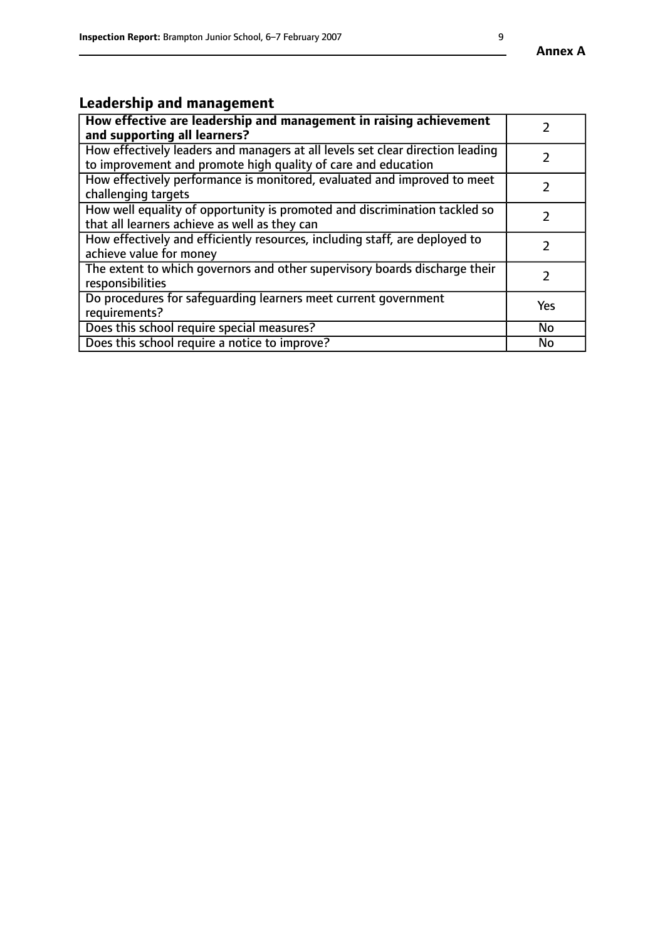#### **Annex A**

# **Leadership and management**

| How effective are leadership and management in raising achievement<br>and supporting all learners?                                              |               |
|-------------------------------------------------------------------------------------------------------------------------------------------------|---------------|
| How effectively leaders and managers at all levels set clear direction leading<br>to improvement and promote high quality of care and education |               |
| How effectively performance is monitored, evaluated and improved to meet<br>challenging targets                                                 |               |
| How well equality of opportunity is promoted and discrimination tackled so<br>that all learners achieve as well as they can                     |               |
| How effectively and efficiently resources, including staff, are deployed to<br>achieve value for money                                          | $\mathcal{P}$ |
| The extent to which governors and other supervisory boards discharge their<br>responsibilities                                                  | 2             |
| Do procedures for safequarding learners meet current government<br>requirements?                                                                | Yes           |
| Does this school require special measures?                                                                                                      | <b>No</b>     |
| Does this school require a notice to improve?                                                                                                   | <b>No</b>     |